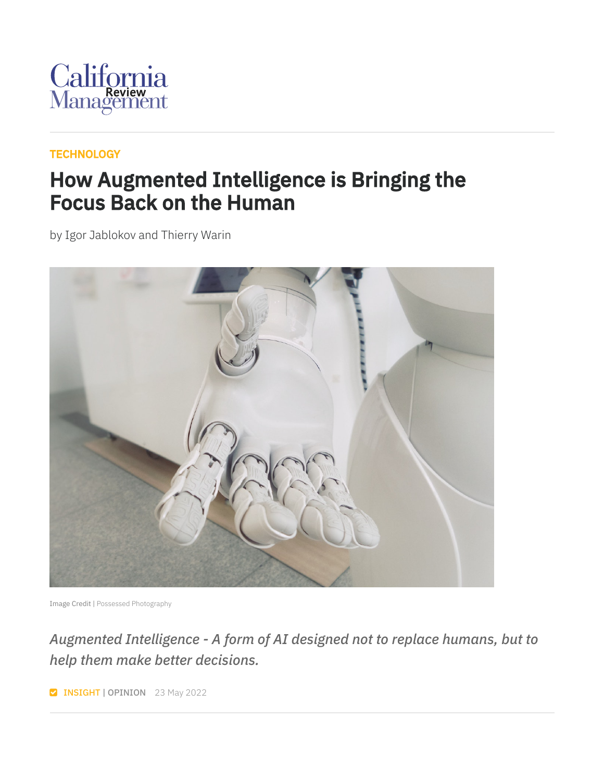

#### **[TECHNOLOGY](https://cmr.berkeley.edu/browse/topics/technology/)**

### How Augmented Intelligence is Bringing the Focus Back on the Human

by Igor Jablokov and Thierry Warin



Image Credit | Possessed [Photography](https://unsplash.com/photos/jIBMSMs4_kA)

### *Augmented Intelligence - A form of AI designed not to replace humans, but to help them make better decisions.*

**INSIGHT | OPINION** 23 May 2022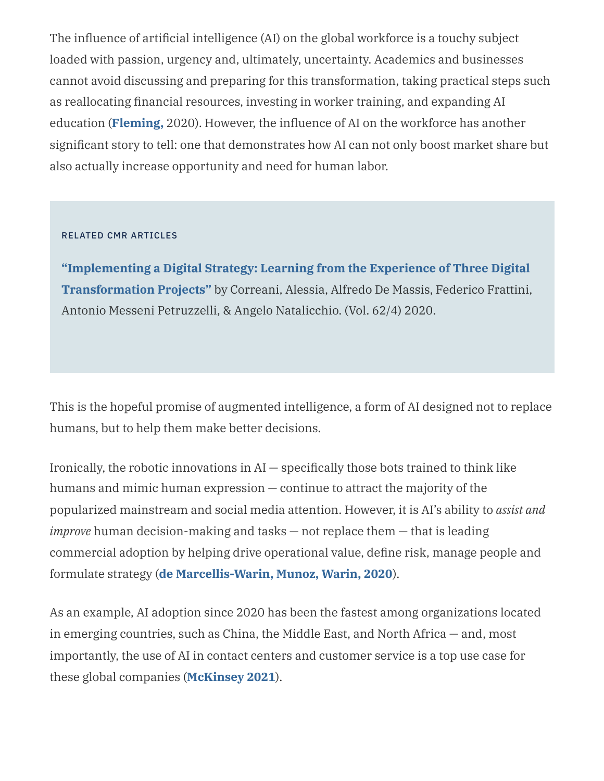The influence of artificial intelligence (AI) on the global workforce is a touchy subject loaded with passion, urgency and, ultimately, uncertainty. Academics and businesses cannot avoid discussing and preparing for this transformation, taking practical steps such as reallocating financial resources, investing in worker training, and expanding AI education (**[Fleming,](https://hbr.org/2020/03/ai-is-changing-work-and-leaders-need-to-adapt)** 2020). However, the influence of AI on the workforce has another significant story to tell: one that demonstrates how AI can not only boost market share but also actually increase opportunity and need for human labor.

#### RELATED CMR ARTICLES

**"Implementing a Digital Strategy: Learning from the Experience of Three Digital [Transformation](https://doi.org/10.1177/0008125620934864) Projects"** by Correani, Alessia, Alfredo De Massis, Federico Frattini, Antonio Messeni Petruzzelli, & Angelo Natalicchio. (Vol. 62/4) 2020.

This is the hopeful promise of augmented intelligence, a form of AI designed not to replace humans, but to help them make better decisions.

Ironically, the robotic innovations in  $AI$  – specifically those bots trained to think like humans and mimic human expression — continue to attract the majority of the popularized mainstream and social media attention. However, it is AI's ability to *assist and improve* human decision-making and tasks — not replace them — that is leading commercial adoption by helping drive operational value, define risk, manage people and formulate strategy (**de [Marcellis-Warin,](https://cmr.berkeley.edu/2020/02/ai-fog-of-war/) Munoz, Warin, 2020**).

As an example, AI adoption since 2020 has been the fastest among organizations located in emerging countries, such as China, the Middle East, and North Africa — and, most importantly, the use of AI in contact centers and customer service is a top use case for these global companies (**[McKinsey](https://www.mckinsey.com/business-functions/mckinsey-analytics/our-insights/global-survey-the-state-of-ai-in-2021) 2021**).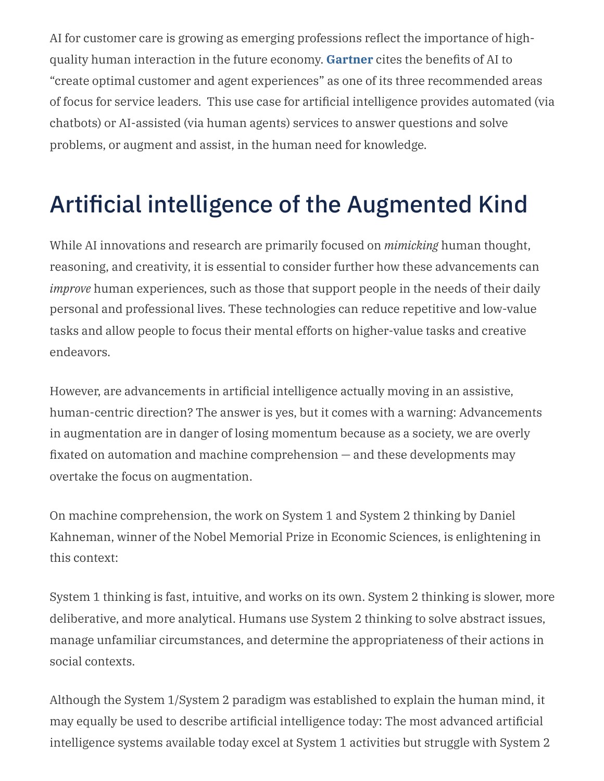AI for customer care is growing as emerging professions reflect the importance of highquality human interaction in the future economy. **[Gartner](https://www.gartner.com/document/4007924?ref=solrAll&refval=311216765)** cites the benefits of AI to "create optimal customer and agent experiences" as one of its three recommended areas of focus for service leaders. This use case for artificial intelligence provides automated (via chatbots) or AI-assisted (via human agents) services to answer questions and solve problems, or augment and assist, in the human need for knowledge.

# Artificial intelligence of the Augmented Kind

While AI innovations and research are primarily focused on *mimicking* human thought, reasoning, and creativity, it is essential to consider further how these advancements can *improve* human experiences, such as those that support people in the needs of their daily personal and professional lives. These technologies can reduce repetitive and low-value tasks and allow people to focus their mental efforts on higher-value tasks and creative endeavors.

However, are advancements in artificial intelligence actually moving in an assistive, human-centric direction? The answer is yes, but it comes with a warning: Advancements in augmentation are in danger of losing momentum because as a society, we are overly fixated on automation and machine comprehension — and these developments may overtake the focus on augmentation.

On machine comprehension, the work on System 1 and System 2 thinking by Daniel Kahneman, winner of the Nobel Memorial Prize in Economic Sciences, is enlightening in this context:

System 1 thinking is fast, intuitive, and works on its own. System 2 thinking is slower, more deliberative, and more analytical. Humans use System 2 thinking to solve abstract issues, manage unfamiliar circumstances, and determine the appropriateness of their actions in social contexts.

Although the System 1/System 2 paradigm was established to explain the human mind, it may equally be used to describe artificial intelligence today: The most advanced artificial intelligence systems available today excel at System 1 activities but struggle with System 2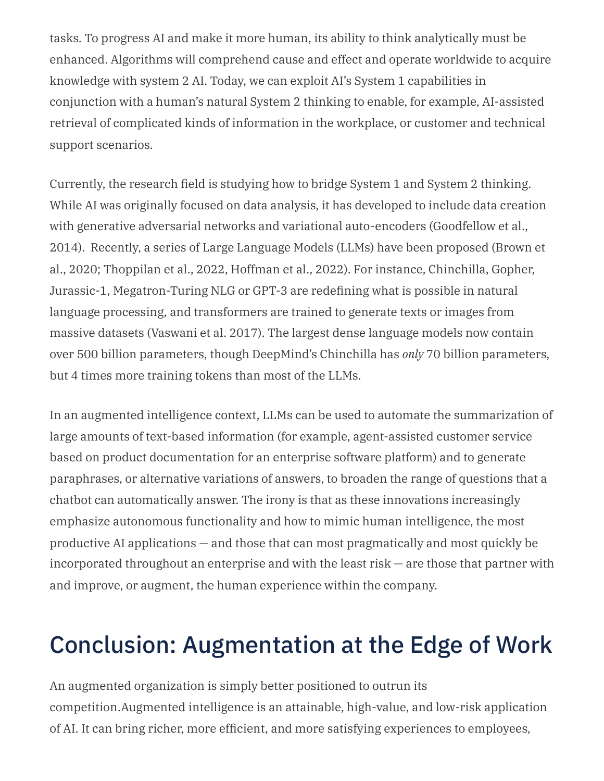tasks. To progress AI and make it more human, its ability to think analytically must be enhanced. Algorithms will comprehend cause and effect and operate worldwide to acquire knowledge with system 2 AI. Today, we can exploit AI's System 1 capabilities in conjunction with a human's natural System 2 thinking to enable, for example, AI-assisted retrieval of complicated kinds of information in the workplace, or customer and technical support scenarios.

Currently, the research field is studying how to bridge System 1 and System 2 thinking. While AI was originally focused on data analysis, it has developed to include data creation with generative adversarial networks and variational auto-encoders (Goodfellow et al., 2014). Recently, a series of Large Language Models (LLMs) have been proposed (Brown et al., 2020; Thoppilan et al., 2022, Hoffman et al., 2022). For instance, Chinchilla, Gopher, Jurassic-1, Megatron-Turing NLG or GPT-3 are redefining what is possible in natural language processing, and transformers are trained to generate texts or images from massive datasets (Vaswani et al. 2017). The largest dense language models now contain over 500 billion parameters, though DeepMind's Chinchilla has *only* 70 billion parameters, but 4 times more training tokens than most of the LLMs.

In an augmented intelligence context, LLMs can be used to automate the summarization of large amounts of text-based information (for example, agent-assisted customer service based on product documentation for an enterprise software platform) and to generate paraphrases, or alternative variations of answers, to broaden the range of questions that a chatbot can automatically answer. The irony is that as these innovations increasingly emphasize autonomous functionality and how to mimic human intelligence, the most productive AI applications — and those that can most pragmatically and most quickly be incorporated throughout an enterprise and with the least risk — are those that partner with and improve, or augment, the human experience within the company.

## Conclusion: Augmentation at the Edge of Work

An augmented organization is simply better positioned to outrun its competition.Augmented intelligence is an attainable, high-value, and low-risk application of AI. It can bring richer, more efficient, and more satisfying experiences to employees,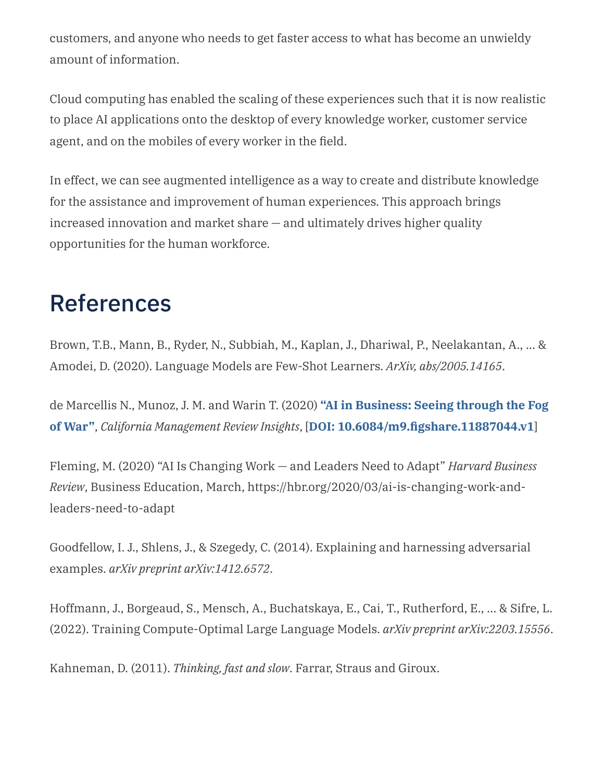customers, and anyone who needs to get faster access to what has become an unwieldy amount of information.

Cloud computing has enabled the scaling of these experiences such that it is now realistic to place AI applications onto the desktop of every knowledge worker, customer service agent, and on the mobiles of every worker in the field.

In effect, we can see augmented intelligence as a way to create and distribute knowledge for the assistance and improvement of human experiences. This approach brings increased innovation and market share — and ultimately drives higher quality opportunities for the human workforce.

### References

Brown, T.B., Mann, B., Ryder, N., Subbiah, M., Kaplan, J., Dhariwal, P., Neelakantan, A., … & Amodei, D. (2020). Language Models are Few-Shot Learners. *ArXiv, abs/2005.14165*.

de Marcellis N., Munoz, J. M. and Warin T. (2020) **"AI in Business: Seeing through the Fog of War"**, *California Management Review Insights*, [**DOI: [10.6084/m9.figshare.11887044.v1](https://cmr.berkeley.edu/2020/02/ai-fog-of-war/)**]

Fleming, M. (2020) "AI Is Changing Work — and Leaders Need to Adapt" *Harvard Business Review*, Business Education, March, https://hbr.org/2020/03/ai-is-changing-work-andleaders-need-to-adapt

Goodfellow, I. J., Shlens, J., & Szegedy, C. (2014). Explaining and harnessing adversarial examples. *arXiv preprint arXiv:1412.6572*.

Hoffmann, J., Borgeaud, S., Mensch, A., Buchatskaya, E., Cai, T., Rutherford, E., … & Sifre, L. (2022). Training Compute-Optimal Large Language Models. *arXiv preprint arXiv:2203.15556*.

Kahneman, D. (2011). *Thinking, fast and slow*. Farrar, Straus and Giroux.